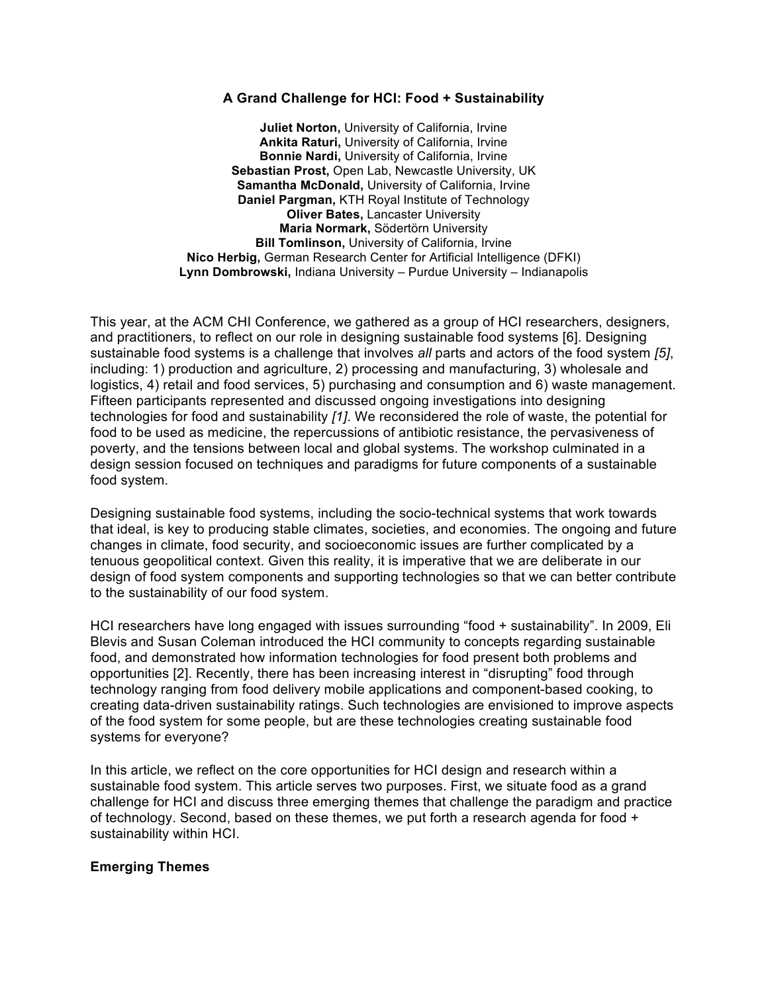## **A Grand Challenge for HCI: Food + Sustainability**

**Juliet Norton,** University of California, Irvine **Ankita Raturi,** University of California, Irvine **Bonnie Nardi,** University of California, Irvine **Sebastian Prost,** Open Lab, Newcastle University, UK **Samantha McDonald,** University of California, Irvine **Daniel Pargman,** KTH Royal Institute of Technology **Oliver Bates,** Lancaster University **Maria Normark,** Södertörn University **Bill Tomlinson,** University of California, Irvine **Nico Herbig,** German Research Center for Artificial Intelligence (DFKI) **Lynn Dombrowski,** Indiana University – Purdue University – Indianapolis

This year, at the ACM CHI Conference, we gathered as a group of HCI researchers, designers, and practitioners, to reflect on our role in designing sustainable food systems [6]. Designing sustainable food systems is a challenge that involves *all* parts and actors of the food system *[5]*, including: 1) production and agriculture, 2) processing and manufacturing, 3) wholesale and logistics, 4) retail and food services, 5) purchasing and consumption and 6) waste management. Fifteen participants represented and discussed ongoing investigations into designing technologies for food and sustainability *[1]*. We reconsidered the role of waste, the potential for food to be used as medicine, the repercussions of antibiotic resistance, the pervasiveness of poverty, and the tensions between local and global systems. The workshop culminated in a design session focused on techniques and paradigms for future components of a sustainable food system.

Designing sustainable food systems, including the socio-technical systems that work towards that ideal, is key to producing stable climates, societies, and economies. The ongoing and future changes in climate, food security, and socioeconomic issues are further complicated by a tenuous geopolitical context. Given this reality, it is imperative that we are deliberate in our design of food system components and supporting technologies so that we can better contribute to the sustainability of our food system.

HCI researchers have long engaged with issues surrounding "food + sustainability". In 2009, Eli Blevis and Susan Coleman introduced the HCI community to concepts regarding sustainable food, and demonstrated how information technologies for food present both problems and opportunities [2]. Recently, there has been increasing interest in "disrupting" food through technology ranging from food delivery mobile applications and component-based cooking, to creating data-driven sustainability ratings. Such technologies are envisioned to improve aspects of the food system for some people, but are these technologies creating sustainable food systems for everyone?

In this article, we reflect on the core opportunities for HCI design and research within a sustainable food system. This article serves two purposes. First, we situate food as a grand challenge for HCI and discuss three emerging themes that challenge the paradigm and practice of technology. Second, based on these themes, we put forth a research agenda for food + sustainability within HCI.

## **Emerging Themes**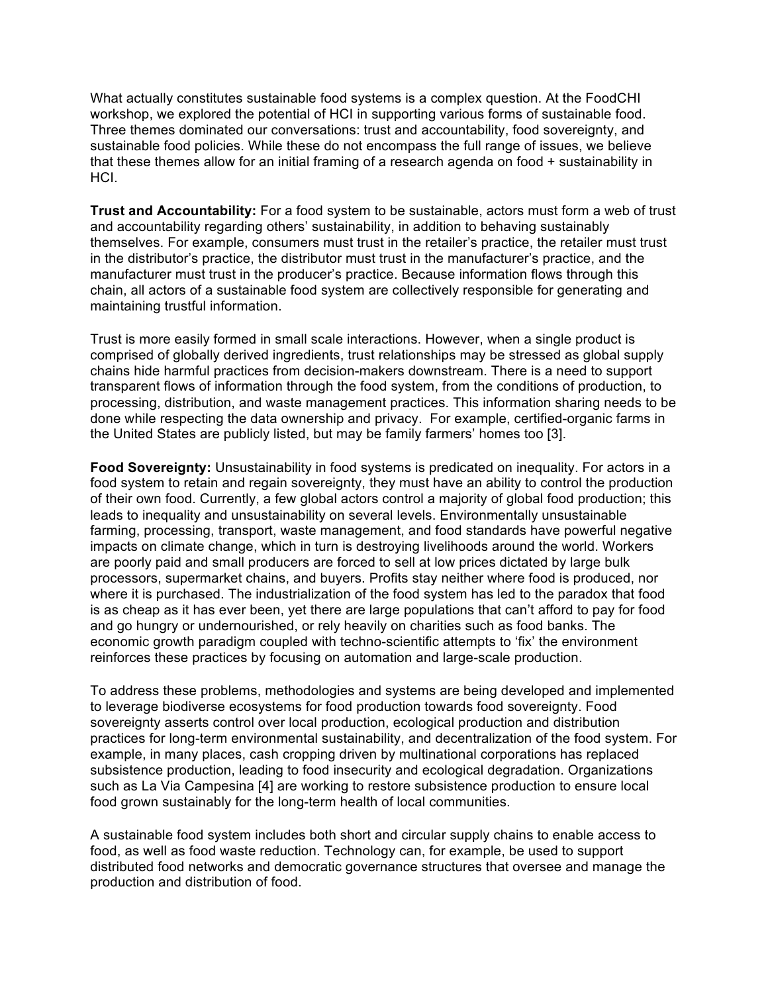What actually constitutes sustainable food systems is a complex question. At the FoodCHI workshop, we explored the potential of HCI in supporting various forms of sustainable food. Three themes dominated our conversations: trust and accountability, food sovereignty, and sustainable food policies. While these do not encompass the full range of issues, we believe that these themes allow for an initial framing of a research agenda on food + sustainability in HCI.

**Trust and Accountability:** For a food system to be sustainable, actors must form a web of trust and accountability regarding others' sustainability, in addition to behaving sustainably themselves. For example, consumers must trust in the retailer's practice, the retailer must trust in the distributor's practice, the distributor must trust in the manufacturer's practice, and the manufacturer must trust in the producer's practice. Because information flows through this chain, all actors of a sustainable food system are collectively responsible for generating and maintaining trustful information.

Trust is more easily formed in small scale interactions. However, when a single product is comprised of globally derived ingredients, trust relationships may be stressed as global supply chains hide harmful practices from decision-makers downstream. There is a need to support transparent flows of information through the food system, from the conditions of production, to processing, distribution, and waste management practices. This information sharing needs to be done while respecting the data ownership and privacy. For example, certified-organic farms in the United States are publicly listed, but may be family farmers' homes too [3].

**Food Sovereignty:** Unsustainability in food systems is predicated on inequality. For actors in a food system to retain and regain sovereignty, they must have an ability to control the production of their own food. Currently, a few global actors control a majority of global food production; this leads to inequality and unsustainability on several levels. Environmentally unsustainable farming, processing, transport, waste management, and food standards have powerful negative impacts on climate change, which in turn is destroying livelihoods around the world. Workers are poorly paid and small producers are forced to sell at low prices dictated by large bulk processors, supermarket chains, and buyers. Profits stay neither where food is produced, nor where it is purchased. The industrialization of the food system has led to the paradox that food is as cheap as it has ever been, yet there are large populations that can't afford to pay for food and go hungry or undernourished, or rely heavily on charities such as food banks. The economic growth paradigm coupled with techno-scientific attempts to 'fix' the environment reinforces these practices by focusing on automation and large-scale production.

To address these problems, methodologies and systems are being developed and implemented to leverage biodiverse ecosystems for food production towards food sovereignty. Food sovereignty asserts control over local production, ecological production and distribution practices for long-term environmental sustainability, and decentralization of the food system. For example, in many places, cash cropping driven by multinational corporations has replaced subsistence production, leading to food insecurity and ecological degradation. Organizations such as La Via Campesina [4] are working to restore subsistence production to ensure local food grown sustainably for the long-term health of local communities.

A sustainable food system includes both short and circular supply chains to enable access to food, as well as food waste reduction. Technology can, for example, be used to support distributed food networks and democratic governance structures that oversee and manage the production and distribution of food.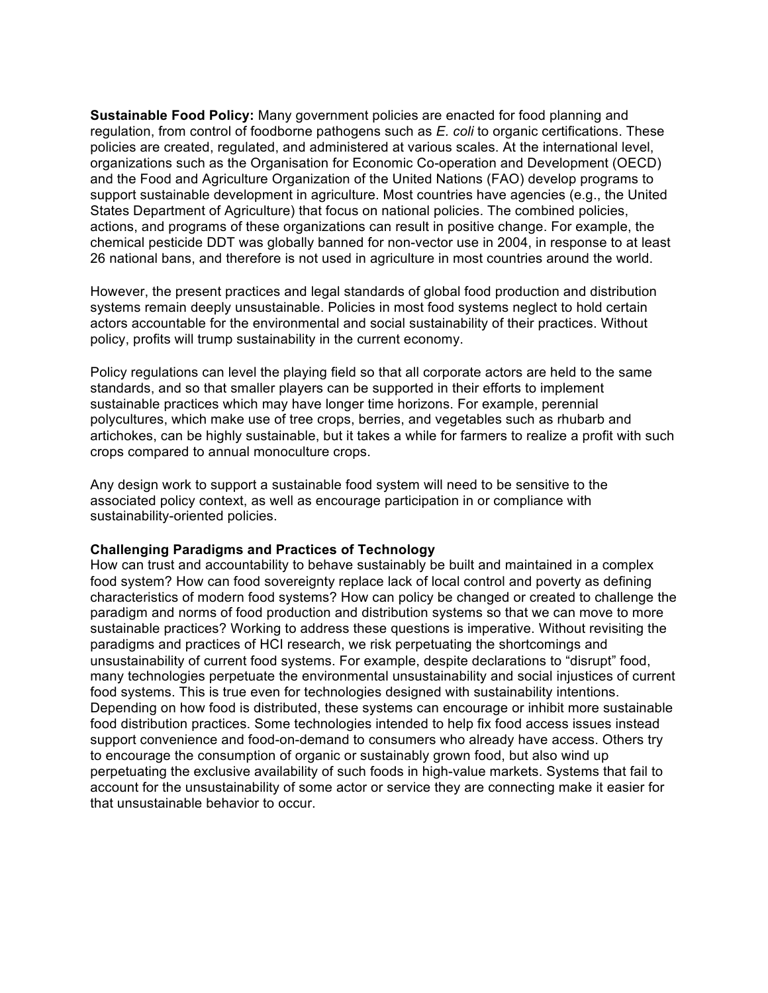**Sustainable Food Policy:** Many government policies are enacted for food planning and regulation, from control of foodborne pathogens such as *E. coli* to organic certifications. These policies are created, regulated, and administered at various scales. At the international level, organizations such as the Organisation for Economic Co-operation and Development (OECD) and the Food and Agriculture Organization of the United Nations (FAO) develop programs to support sustainable development in agriculture. Most countries have agencies (e.g., the United States Department of Agriculture) that focus on national policies. The combined policies, actions, and programs of these organizations can result in positive change. For example, the chemical pesticide DDT was globally banned for non-vector use in 2004, in response to at least 26 national bans, and therefore is not used in agriculture in most countries around the world.

However, the present practices and legal standards of global food production and distribution systems remain deeply unsustainable. Policies in most food systems neglect to hold certain actors accountable for the environmental and social sustainability of their practices. Without policy, profits will trump sustainability in the current economy.

Policy regulations can level the playing field so that all corporate actors are held to the same standards, and so that smaller players can be supported in their efforts to implement sustainable practices which may have longer time horizons. For example, perennial polycultures, which make use of tree crops, berries, and vegetables such as rhubarb and artichokes, can be highly sustainable, but it takes a while for farmers to realize a profit with such crops compared to annual monoculture crops.

Any design work to support a sustainable food system will need to be sensitive to the associated policy context, as well as encourage participation in or compliance with sustainability-oriented policies.

## **Challenging Paradigms and Practices of Technology**

How can trust and accountability to behave sustainably be built and maintained in a complex food system? How can food sovereignty replace lack of local control and poverty as defining characteristics of modern food systems? How can policy be changed or created to challenge the paradigm and norms of food production and distribution systems so that we can move to more sustainable practices? Working to address these questions is imperative. Without revisiting the paradigms and practices of HCI research, we risk perpetuating the shortcomings and unsustainability of current food systems. For example, despite declarations to "disrupt" food, many technologies perpetuate the environmental unsustainability and social injustices of current food systems. This is true even for technologies designed with sustainability intentions. Depending on how food is distributed, these systems can encourage or inhibit more sustainable food distribution practices. Some technologies intended to help fix food access issues instead support convenience and food-on-demand to consumers who already have access. Others try to encourage the consumption of organic or sustainably grown food, but also wind up perpetuating the exclusive availability of such foods in high-value markets. Systems that fail to account for the unsustainability of some actor or service they are connecting make it easier for that unsustainable behavior to occur.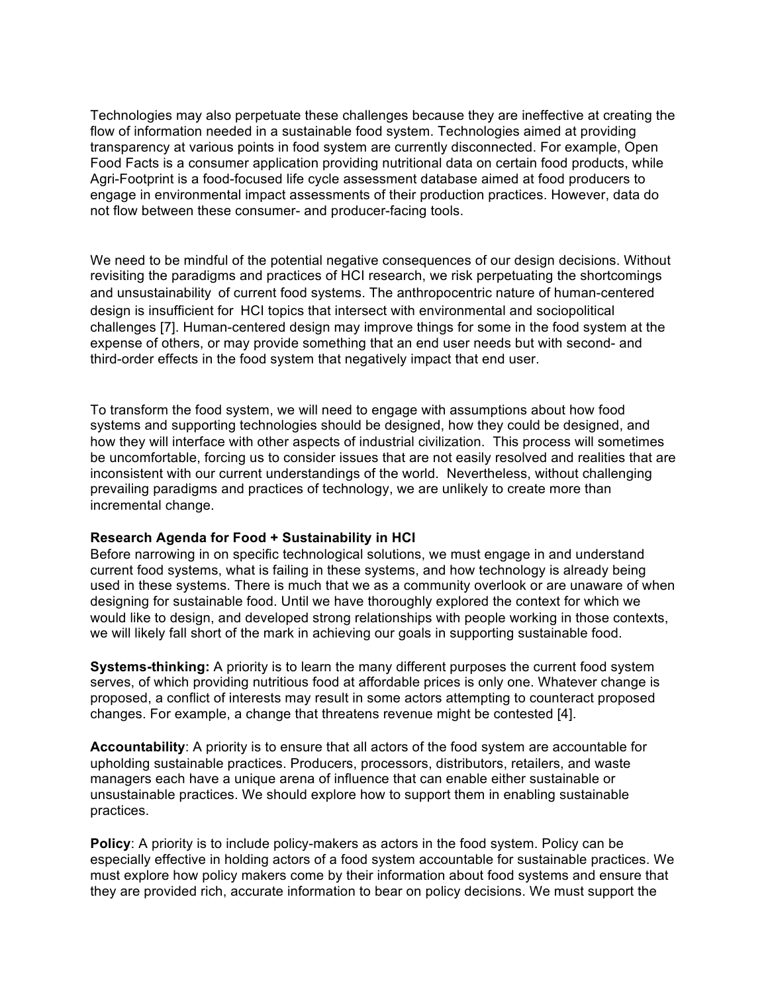Technologies may also perpetuate these challenges because they are ineffective at creating the flow of information needed in a sustainable food system. Technologies aimed at providing transparency at various points in food system are currently disconnected. For example, Open Food Facts is a consumer application providing nutritional data on certain food products, while Agri-Footprint is a food-focused life cycle assessment database aimed at food producers to engage in environmental impact assessments of their production practices. However, data do not flow between these consumer- and producer-facing tools.

We need to be mindful of the potential negative consequences of our design decisions. Without revisiting the paradigms and practices of HCI research, we risk perpetuating the shortcomings and unsustainability of current food systems. The anthropocentric nature of human-centered design is insufficient for HCI topics that intersect with environmental and sociopolitical challenges [7]. Human-centered design may improve things for some in the food system at the expense of others, or may provide something that an end user needs but with second- and third-order effects in the food system that negatively impact that end user.

To transform the food system, we will need to engage with assumptions about how food systems and supporting technologies should be designed, how they could be designed, and how they will interface with other aspects of industrial civilization. This process will sometimes be uncomfortable, forcing us to consider issues that are not easily resolved and realities that are inconsistent with our current understandings of the world. Nevertheless, without challenging prevailing paradigms and practices of technology, we are unlikely to create more than incremental change.

## **Research Agenda for Food + Sustainability in HCI**

Before narrowing in on specific technological solutions, we must engage in and understand current food systems, what is failing in these systems, and how technology is already being used in these systems. There is much that we as a community overlook or are unaware of when designing for sustainable food. Until we have thoroughly explored the context for which we would like to design, and developed strong relationships with people working in those contexts, we will likely fall short of the mark in achieving our goals in supporting sustainable food.

**Systems-thinking:** A priority is to learn the many different purposes the current food system serves, of which providing nutritious food at affordable prices is only one. Whatever change is proposed, a conflict of interests may result in some actors attempting to counteract proposed changes. For example, a change that threatens revenue might be contested [4].

**Accountability**: A priority is to ensure that all actors of the food system are accountable for upholding sustainable practices. Producers, processors, distributors, retailers, and waste managers each have a unique arena of influence that can enable either sustainable or unsustainable practices. We should explore how to support them in enabling sustainable practices.

**Policy**: A priority is to include policy-makers as actors in the food system. Policy can be especially effective in holding actors of a food system accountable for sustainable practices. We must explore how policy makers come by their information about food systems and ensure that they are provided rich, accurate information to bear on policy decisions. We must support the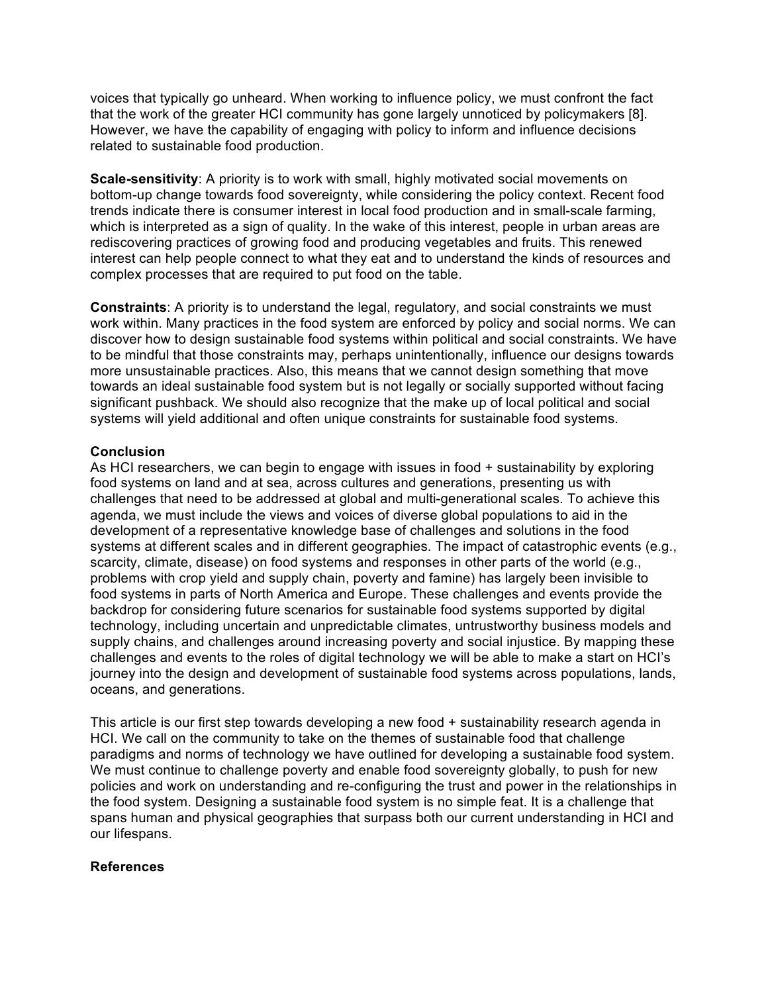voices that typically go unheard. When working to influence policy, we must confront the fact that the work of the greater HCI community has gone largely unnoticed by policymakers [8]. However, we have the capability of engaging with policy to inform and influence decisions related to sustainable food production.

**Scale-sensitivity**: A priority is to work with small, highly motivated social movements on bottom-up change towards food sovereignty, while considering the policy context. Recent food trends indicate there is consumer interest in local food production and in small-scale farming, which is interpreted as a sign of quality. In the wake of this interest, people in urban areas are rediscovering practices of growing food and producing vegetables and fruits. This renewed interest can help people connect to what they eat and to understand the kinds of resources and complex processes that are required to put food on the table.

**Constraints**: A priority is to understand the legal, regulatory, and social constraints we must work within. Many practices in the food system are enforced by policy and social norms. We can discover how to design sustainable food systems within political and social constraints. We have to be mindful that those constraints may, perhaps unintentionally, influence our designs towards more unsustainable practices. Also, this means that we cannot design something that move towards an ideal sustainable food system but is not legally or socially supported without facing significant pushback. We should also recognize that the make up of local political and social systems will yield additional and often unique constraints for sustainable food systems.

# **Conclusion**

As HCI researchers, we can begin to engage with issues in food + sustainability by exploring food systems on land and at sea, across cultures and generations, presenting us with challenges that need to be addressed at global and multi-generational scales. To achieve this agenda, we must include the views and voices of diverse global populations to aid in the development of a representative knowledge base of challenges and solutions in the food systems at different scales and in different geographies. The impact of catastrophic events (e.g., scarcity, climate, disease) on food systems and responses in other parts of the world (e.g., problems with crop yield and supply chain, poverty and famine) has largely been invisible to food systems in parts of North America and Europe. These challenges and events provide the backdrop for considering future scenarios for sustainable food systems supported by digital technology, including uncertain and unpredictable climates, untrustworthy business models and supply chains, and challenges around increasing poverty and social injustice. By mapping these challenges and events to the roles of digital technology we will be able to make a start on HCI's journey into the design and development of sustainable food systems across populations, lands, oceans, and generations.

This article is our first step towards developing a new food + sustainability research agenda in HCI. We call on the community to take on the themes of sustainable food that challenge paradigms and norms of technology we have outlined for developing a sustainable food system. We must continue to challenge poverty and enable food sovereignty globally, to push for new policies and work on understanding and re-configuring the trust and power in the relationships in the food system. Designing a sustainable food system is no simple feat. It is a challenge that spans human and physical geographies that surpass both our current understanding in HCI and our lifespans.

## **References**